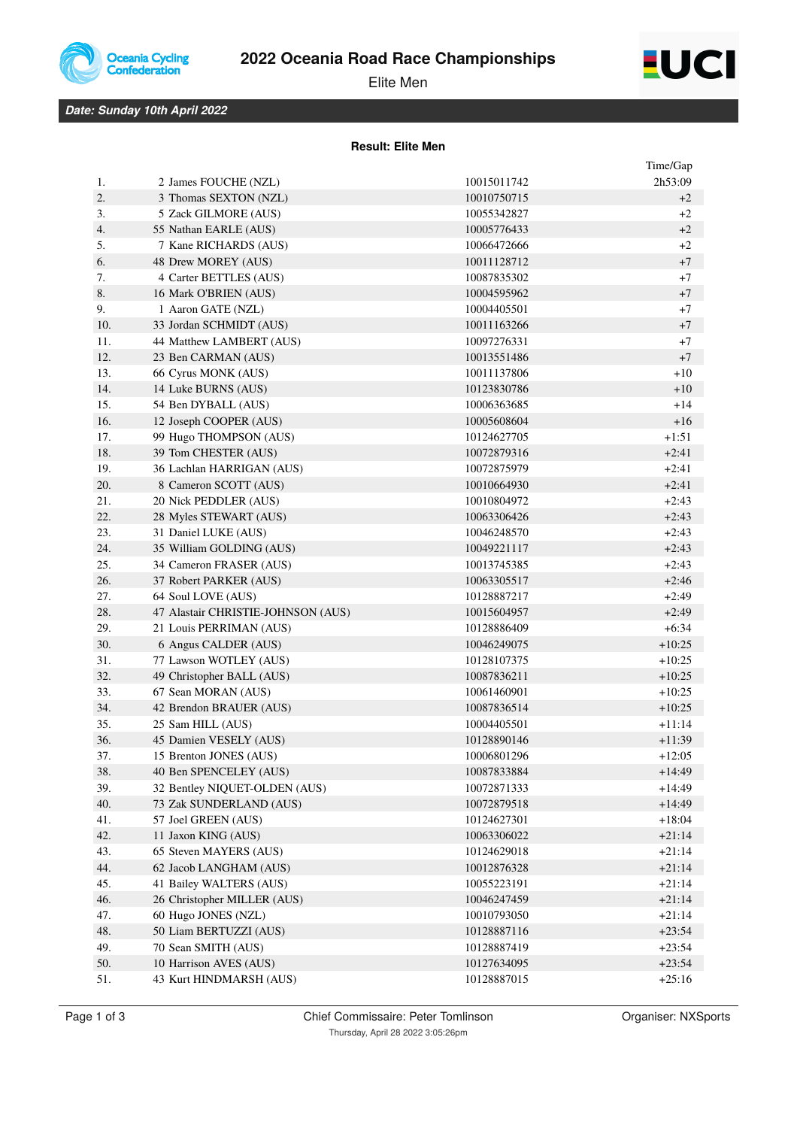

# **2022 Oceania Road Race Championships**



Elite Men

## *Date: Sunday 10th April 2022*

#### **Result: Elite Men**

|     |                                    |             | Time/Gap |
|-----|------------------------------------|-------------|----------|
| 1.  | 2 James FOUCHE (NZL)               | 10015011742 | 2h53:09  |
| 2.  | 3 Thomas SEXTON (NZL)              | 10010750715 | $+2$     |
| 3.  | 5 Zack GILMORE (AUS)               | 10055342827 | $+2$     |
| 4.  | 55 Nathan EARLE (AUS)              | 10005776433 | $+2$     |
| 5.  | 7 Kane RICHARDS (AUS)              | 10066472666 | $+2$     |
| 6.  | 48 Drew MOREY (AUS)                | 10011128712 | $+7$     |
| 7.  | 4 Carter BETTLES (AUS)             | 10087835302 | $+7$     |
| 8.  | 16 Mark O'BRIEN (AUS)              | 10004595962 | $+7$     |
| 9.  | 1 Aaron GATE (NZL)                 | 10004405501 | $+7$     |
| 10. | 33 Jordan SCHMIDT (AUS)            | 10011163266 | $+7$     |
| 11. | 44 Matthew LAMBERT (AUS)           | 10097276331 | $+7$     |
| 12. | 23 Ben CARMAN (AUS)                | 10013551486 | $+7$     |
| 13. | 66 Cyrus MONK (AUS)                | 10011137806 | $+10$    |
| 14. | 14 Luke BURNS (AUS)                | 10123830786 | $+10$    |
| 15. | 54 Ben DYBALL (AUS)                | 10006363685 | $+14$    |
| 16. | 12 Joseph COOPER (AUS)             | 10005608604 | $+16$    |
| 17. | 99 Hugo THOMPSON (AUS)             | 10124627705 | $+1:51$  |
| 18. | 39 Tom CHESTER (AUS)               | 10072879316 | $+2:41$  |
| 19. | 36 Lachlan HARRIGAN (AUS)          | 10072875979 | $+2:41$  |
| 20. | 8 Cameron SCOTT (AUS)              | 10010664930 | $+2:41$  |
| 21. | 20 Nick PEDDLER (AUS)              | 10010804972 | $+2:43$  |
| 22. | 28 Myles STEWART (AUS)             | 10063306426 | $+2:43$  |
| 23. | 31 Daniel LUKE (AUS)               | 10046248570 | $+2:43$  |
| 24. | 35 William GOLDING (AUS)           | 10049221117 | $+2:43$  |
| 25. | 34 Cameron FRASER (AUS)            | 10013745385 | $+2:43$  |
| 26. | 37 Robert PARKER (AUS)             | 10063305517 | $+2:46$  |
| 27. | 64 Soul LOVE (AUS)                 | 10128887217 | $+2:49$  |
| 28. | 47 Alastair CHRISTIE-JOHNSON (AUS) | 10015604957 | $+2:49$  |
| 29. | 21 Louis PERRIMAN (AUS)            | 10128886409 | $+6:34$  |
| 30. | 6 Angus CALDER (AUS)               | 10046249075 | $+10:25$ |
| 31. | 77 Lawson WOTLEY (AUS)             | 10128107375 | $+10:25$ |
| 32. | 49 Christopher BALL (AUS)          | 10087836211 | $+10:25$ |
| 33. | 67 Sean MORAN (AUS)                | 10061460901 | $+10:25$ |
| 34. | 42 Brendon BRAUER (AUS)            | 10087836514 | $+10:25$ |
| 35. | 25 Sam HILL (AUS)                  | 10004405501 | $+11:14$ |
| 36. | 45 Damien VESELY (AUS)             | 10128890146 | $+11:39$ |
| 37. | 15 Brenton JONES (AUS)             | 10006801296 | $+12:05$ |
| 38. | 40 Ben SPENCELEY (AUS)             | 10087833884 | +14:49   |
| 39. | 32 Bentley NIQUET-OLDEN (AUS)      | 10072871333 | $+14:49$ |
| 40. | 73 Zak SUNDERLAND (AUS)            | 10072879518 | $+14:49$ |
| 41. | 57 Joel GREEN (AUS)                | 10124627301 | $+18:04$ |
| 42. | 11 Jaxon KING (AUS)                | 10063306022 | $+21:14$ |
| 43. | 65 Steven MAYERS (AUS)             | 10124629018 | $+21:14$ |
| 44. | 62 Jacob LANGHAM (AUS)             | 10012876328 | $+21:14$ |
| 45. | 41 Bailey WALTERS (AUS)            | 10055223191 | $+21:14$ |
| 46. | 26 Christopher MILLER (AUS)        | 10046247459 | $+21:14$ |
| 47. | 60 Hugo JONES (NZL)                | 10010793050 | $+21:14$ |
| 48. | 50 Liam BERTUZZI (AUS)             | 10128887116 | $+23:54$ |
| 49. | 70 Sean SMITH (AUS)                | 10128887419 | $+23:54$ |
| 50. | 10 Harrison AVES (AUS)             | 10127634095 | $+23:54$ |
| 51. | 43 Kurt HINDMARSH (AUS)            | 10128887015 | $+25:16$ |
|     |                                    |             |          |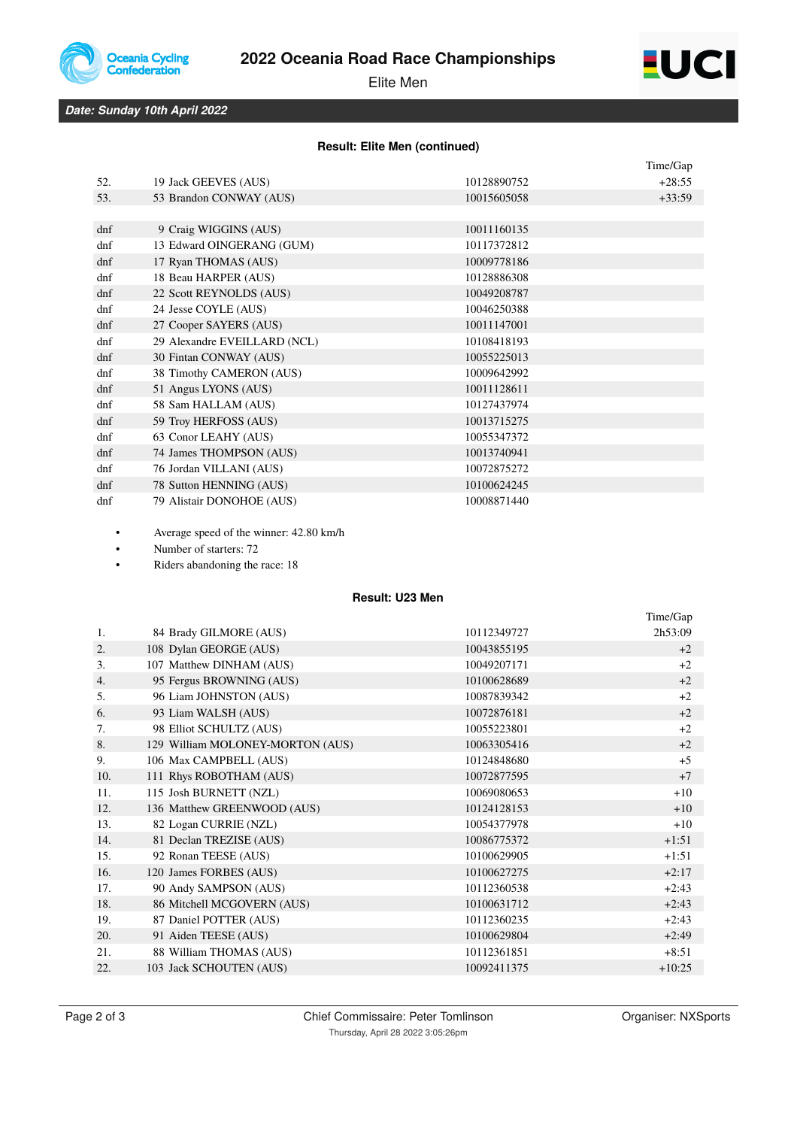

# **2022 Oceania Road Race Championships**



Elite Men

*Date: Sunday 10th April 2022*

### **Result: Elite Men (continued)**

|        |                              |             | Time/Gap |
|--------|------------------------------|-------------|----------|
| 52.    | 19 Jack GEEVES (AUS)         | 10128890752 | $+28:55$ |
| 53.    | 53 Brandon CONWAY (AUS)      | 10015605058 | $+33:59$ |
|        |                              |             |          |
| $d$ nf | 9 Craig WIGGINS (AUS)        | 10011160135 |          |
| dnf    | 13 Edward OINGERANG (GUM)    | 10117372812 |          |
| dnf    | 17 Ryan THOMAS (AUS)         | 10009778186 |          |
| dnf    | 18 Beau HARPER (AUS)         | 10128886308 |          |
| dnf    | 22 Scott REYNOLDS (AUS)      | 10049208787 |          |
| dnf    | 24 Jesse COYLE (AUS)         | 10046250388 |          |
| dnf    | 27 Cooper SAYERS (AUS)       | 10011147001 |          |
| dnf    | 29 Alexandre EVEILLARD (NCL) | 10108418193 |          |
| $d$ nf | 30 Fintan CONWAY (AUS)       | 10055225013 |          |
| dnf    | 38 Timothy CAMERON (AUS)     | 10009642992 |          |
| $d$ nf | 51 Angus LYONS (AUS)         | 10011128611 |          |
| dnf    | 58 Sam HALLAM (AUS)          | 10127437974 |          |
| $d$ nf | 59 Troy HERFOSS (AUS)        | 10013715275 |          |
| $d$ nf | 63 Conor LEAHY (AUS)         | 10055347372 |          |
| $d$ nf | 74 James THOMPSON (AUS)      | 10013740941 |          |
| dnf    | 76 Jordan VILLANI (AUS)      | 10072875272 |          |
| $d$ nf | 78 Sutton HENNING (AUS)      | 10100624245 |          |
| dnf    | 79 Alistair DONOHOE (AUS)    | 10008871440 |          |

• Average speed of the winner: 42.80 km/h

• Number of starters: 72

Riders abandoning the race: 18

### **Result: U23 Men**

|     |                                  |             | Time/Gap |
|-----|----------------------------------|-------------|----------|
| 1.  | 84 Brady GILMORE (AUS)           | 10112349727 | 2h53:09  |
| 2.  | 108 Dylan GEORGE (AUS)           | 10043855195 | $+2$     |
| 3.  | 107 Matthew DINHAM (AUS)         | 10049207171 | $+2$     |
| 4.  | 95 Fergus BROWNING (AUS)         | 10100628689 | $+2$     |
| 5.  | 96 Liam JOHNSTON (AUS)           | 10087839342 | $+2$     |
| 6.  | 93 Liam WALSH (AUS)              | 10072876181 | $+2$     |
| 7.  | 98 Elliot SCHULTZ (AUS)          | 10055223801 | $+2$     |
| 8.  | 129 William MOLONEY-MORTON (AUS) | 10063305416 | $+2$     |
| 9.  | 106 Max CAMPBELL (AUS)           | 10124848680 | $+5$     |
| 10. | 111 Rhys ROBOTHAM (AUS)          | 10072877595 | $+7$     |
| 11. | 115 Josh BURNETT (NZL)           | 10069080653 | $+10$    |
| 12. | 136 Matthew GREENWOOD (AUS)      | 10124128153 | $+10$    |
| 13. | 82 Logan CURRIE (NZL)            | 10054377978 | $+10$    |
| 14. | 81 Declan TREZISE (AUS)          | 10086775372 | $+1:51$  |
| 15. | 92 Ronan TEESE (AUS)             | 10100629905 | $+1:51$  |
| 16. | 120 James FORBES (AUS)           | 10100627275 | $+2:17$  |
| 17. | 90 Andy SAMPSON (AUS)            | 10112360538 | $+2:43$  |
| 18. | 86 Mitchell MCGOVERN (AUS)       | 10100631712 | $+2:43$  |
| 19. | 87 Daniel POTTER (AUS)           | 10112360235 | $+2:43$  |
| 20. | 91 Aiden TEESE (AUS)             | 10100629804 | $+2:49$  |
| 21. | 88 William THOMAS (AUS)          | 10112361851 | $+8:51$  |
| 22. | 103 Jack SCHOUTEN (AUS)          | 10092411375 | $+10:25$ |